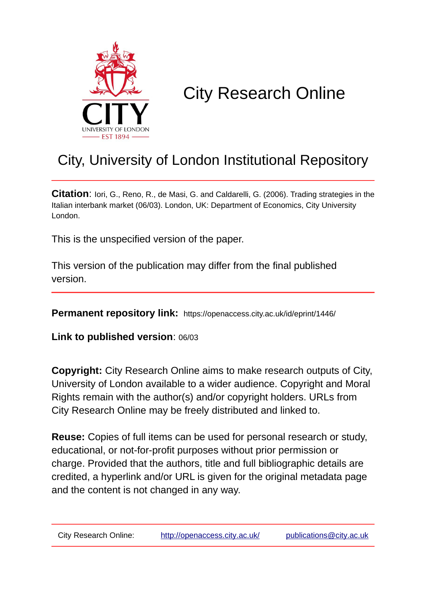

# City Research Online

## City, University of London Institutional Repository

**Citation**: Iori, G., Reno, R., de Masi, G. and Caldarelli, G. (2006). Trading strategies in the Italian interbank market (06/03). London, UK: Department of Economics, City University London.

This is the unspecified version of the paper.

This version of the publication may differ from the final published version.

**Permanent repository link:** https://openaccess.city.ac.uk/id/eprint/1446/

**Link to published version**: 06/03

**Copyright:** City Research Online aims to make research outputs of City, University of London available to a wider audience. Copyright and Moral Rights remain with the author(s) and/or copyright holders. URLs from City Research Online may be freely distributed and linked to.

**Reuse:** Copies of full items can be used for personal research or study, educational, or not-for-profit purposes without prior permission or charge. Provided that the authors, title and full bibliographic details are credited, a hyperlink and/or URL is given for the original metadata page and the content is not changed in any way.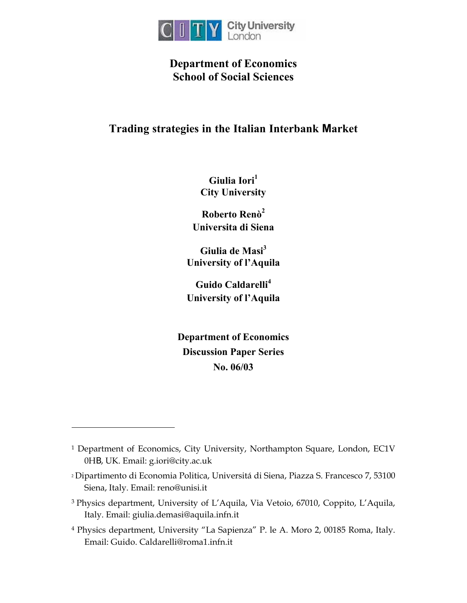

#### **Department of Economics School of Social Sciences**

#### **Trading strategies in the Italian Interbank Market**

Giulia Iori<sup>1</sup> **City University** 

**Roberto Renò<sup>2</sup> Universita di Siena** 

**Giulia de Masi<sup>3</sup> University of l'Aquila** 

**Guido Caldarelli<sup>4</sup> University of l'Aquila** 

**Department of Economics Discussion Paper Series No. 06/03**

-

<sup>&</sup>lt;sup>1</sup> Department of Economics, City University, Northampton Square, London, EC1V 0HB, UK. Email: g.iori@city.ac.uk

<sup>2</sup> Dipartimento di Economia Politica, Universitá di Siena, Piazza S. Francesco 7, 53100 Siena, Italy. Email: reno@unisi.it

<sup>3</sup> Physics department, University of L'Aquila, Via Vetoio, 67010, Coppito, L'Aquila, Italy. Email: giulia.demasi@aquila.infn.it

<sup>4</sup> Physics department, University "La Sapienza" P. le A. Moro 2, 00185 Roma, Italy. Email: Guido. Caldarelli@roma1.infn.it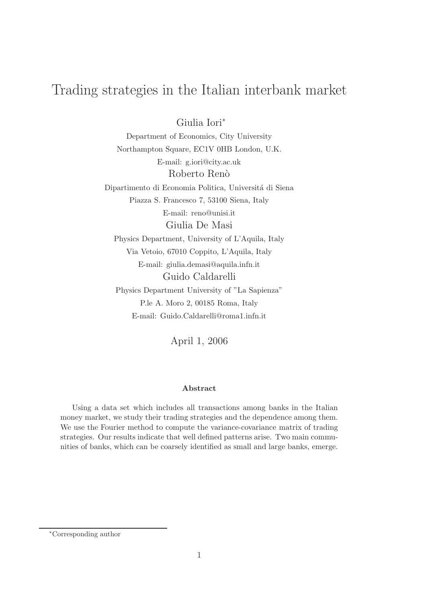### Trading strategies in the Italian interbank market

Giulia Iori<sup>∗</sup>

Department of Economics, City University Northampton Square, EC1V 0HB London, U.K. E-mail: g.iori@city.ac.uk Roberto Renò Dipartimento di Economia Politica, Universitá di Siena Piazza S. Francesco 7, 53100 Siena, Italy E-mail: reno@unisi.it Giulia De Masi Physics Department, University of L'Aquila, Italy Via Vetoio, 67010 Coppito, L'Aquila, Italy E-mail: giulia.demasi@aquila.infn.it Guido Caldarelli Physics Department University of "La Sapienza" P.le A. Moro 2, 00185 Roma, Italy E-mail: Guido.Caldarelli@roma1.infn.it

April 1, 2006

#### **Abstract**

Using a data set which includes all transactions among banks in the Italian money market, we study their trading strategies and the dependence among them. We use the Fourier method to compute the variance-covariance matrix of trading strategies. Our results indicate that well defined patterns arise. Two main communities of banks, which can be coarsely identified as small and large banks, emerge.

<sup>∗</sup>Corresponding author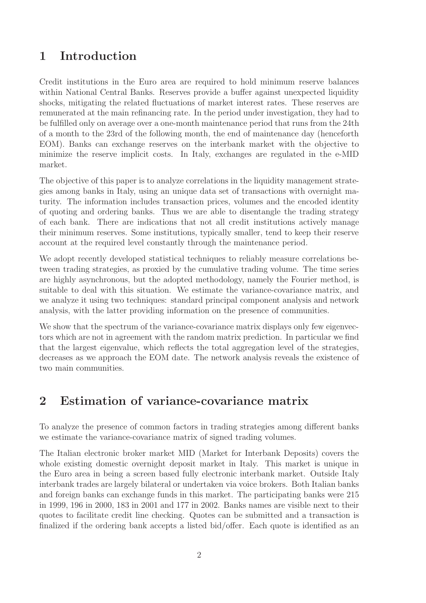#### **1 Introduction**

Credit institutions in the Euro area are required to hold minimum reserve balances within National Central Banks. Reserves provide a buffer against unexpected liquidity shocks, mitigating the related fluctuations of market interest rates. These reserves are remunerated at the main refinancing rate. In the period under investigation, they had to be fulfilled only on average over a one-month maintenance period that runs from the 24th of a month to the 23rd of the following month, the end of maintenance day (henceforth EOM). Banks can exchange reserves on the interbank market with the objective to minimize the reserve implicit costs. In Italy, exchanges are regulated in the e-MID market.

The objective of this paper is to analyze correlations in the liquidity management strategies among banks in Italy, using an unique data set of transactions with overnight maturity. The information includes transaction prices, volumes and the encoded identity of quoting and ordering banks. Thus we are able to disentangle the trading strategy of each bank. There are indications that not all credit institutions actively manage their minimum reserves. Some institutions, typically smaller, tend to keep their reserve account at the required level constantly through the maintenance period.

We adopt recently developed statistical techniques to reliably measure correlations between trading strategies, as proxied by the cumulative trading volume. The time series are highly asynchronous, but the adopted methodology, namely the Fourier method, is suitable to deal with this situation. We estimate the variance-covariance matrix, and we analyze it using two techniques: standard principal component analysis and network analysis, with the latter providing information on the presence of communities.

We show that the spectrum of the variance-covariance matrix displays only few eigenvectors which are not in agreement with the random matrix prediction. In particular we find that the largest eigenvalue, which reflects the total aggregation level of the strategies, decreases as we approach the EOM date. The network analysis reveals the existence of two main communities.

#### **2 Estimation of variance-covariance matrix**

To analyze the presence of common factors in trading strategies among different banks we estimate the variance-covariance matrix of signed trading volumes.

The Italian electronic broker market MID (Market for Interbank Deposits) covers the whole existing domestic overnight deposit market in Italy. This market is unique in the Euro area in being a screen based fully electronic interbank market. Outside Italy interbank trades are largely bilateral or undertaken via voice brokers. Both Italian banks and foreign banks can exchange funds in this market. The participating banks were 215 in 1999, 196 in 2000, 183 in 2001 and 177 in 2002. Banks names are visible next to their quotes to facilitate credit line checking. Quotes can be submitted and a transaction is finalized if the ordering bank accepts a listed bid/offer. Each quote is identified as an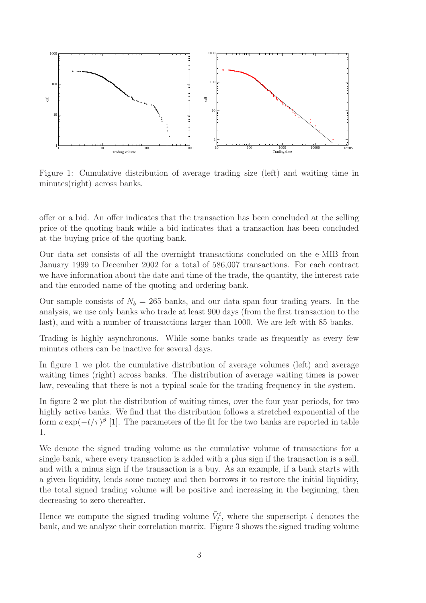

Figure 1: Cumulative distribution of average trading size (left) and waiting time in minutes(right) across banks.

offer or a bid. An offer indicates that the transaction has been concluded at the selling price of the quoting bank while a bid indicates that a transaction has been concluded at the buying price of the quoting bank.

Our data set consists of all the overnight transactions concluded on the e-MIB from January 1999 to December 2002 for a total of 586,007 transactions. For each contract we have information about the date and time of the trade, the quantity, the interest rate and the encoded name of the quoting and ordering bank.

Our sample consists of  $N_b = 265$  banks, and our data span four trading years. In the analysis, we use only banks who trade at least 900 days (from the first transaction to the last), and with a number of transactions larger than 1000. We are left with 85 banks.

Trading is highly asynchronous. While some banks trade as frequently as every few minutes others can be inactive for several days.

In figure 1 we plot the cumulative distribution of average volumes (left) and average waiting times (right) across banks. The distribution of average waiting times is power law, revealing that there is not a typical scale for the trading frequency in the system.

In figure 2 we plot the distribution of waiting times, over the four year periods, for two highly active banks. We find that the distribution follows a stretched exponential of the form  $a \exp(-t/\tau)^{\beta}$  [1]. The parameters of the fit for the two banks are reported in table 1.

We denote the signed trading volume as the cumulative volume of transactions for a single bank, where every transaction is added with a plus sign if the transaction is a sell, and with a minus sign if the transaction is a buy. As an example, if a bank starts with a given liquidity, lends some money and then borrows it to restore the initial liquidity, the total signed trading volume will be positive and increasing in the beginning, then decreasing to zero thereafter.

Hence we compute the signed trading volume  $\bar{V}_t^i$ , where the superscript i denotes the bank, and we analyze their correlation matrix. Figure 3 shows the signed trading volume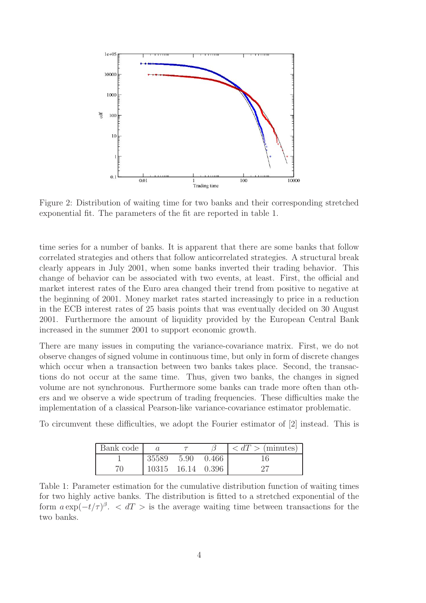

Figure 2: Distribution of waiting time for two banks and their corresponding stretched exponential fit. The parameters of the fit are reported in table 1.

time series for a number of banks. It is apparent that there are some banks that follow correlated strategies and others that follow anticorrelated strategies. A structural break clearly appears in July 2001, when some banks inverted their trading behavior. This change of behavior can be associated with two events, at least. First, the official and market interest rates of the Euro area changed their trend from positive to negative at the beginning of 2001. Money market rates started increasingly to price in a reduction in the ECB interest rates of 25 basis points that was eventually decided on 30 August 2001. Furthermore the amount of liquidity provided by the European Central Bank increased in the summer 2001 to support economic growth.

There are many issues in computing the variance-covariance matrix. First, we do not observe changes of signed volume in continuous time, but only in form of discrete changes which occur when a transaction between two banks takes place. Second, the transactions do not occur at the same time. Thus, given two banks, the changes in signed volume are not synchronous. Furthermore some banks can trade more often than others and we observe a wide spectrum of trading frequencies. These difficulties make the implementation of a classical Pearson-like variance-covariance estimator problematic.

To circumvent these difficulties, we adopt the Fourier estimator of [2] instead. This is

| Bank code |                   |       | $\langle dT \rangle$ (minutes) |
|-----------|-------------------|-------|--------------------------------|
|           | 35589 5.90        | 0.466 |                                |
|           | 10315 16.14 0.396 |       |                                |

Table 1: Parameter estimation for the cumulative distribution function of waiting times for two highly active banks. The distribution is fitted to a stretched exponential of the form  $a \exp(-t/\tau)^{\beta}$ .  $\langle dT \rangle$  is the average waiting time between transactions for the two banks.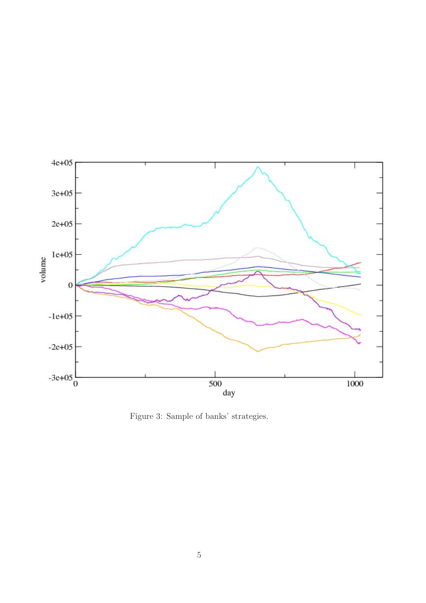

Figure 3: Sample of banks' strategies.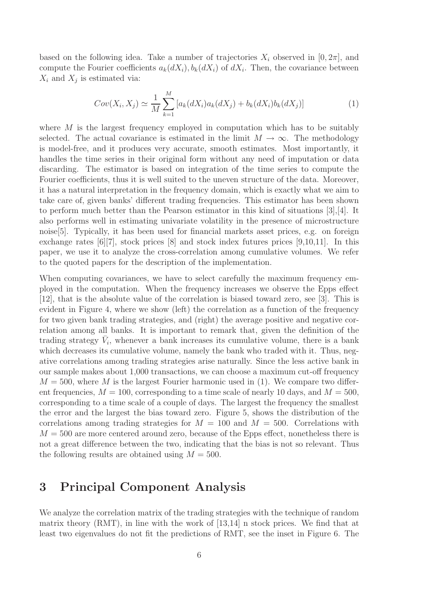based on the following idea. Take a number of trajectories  $X_i$  observed in [0, 2 $\pi$ ], and compute the Fourier coefficients  $a_k(dX_i)$ ,  $b_k(dX_i)$  of  $dX_i$ . Then, the covariance between  $X_i$  and  $X_j$  is estimated via:

$$
Cov(X_i, X_j) \simeq \frac{1}{M} \sum_{k=1}^{M} [a_k(dX_i)a_k(dX_j) + b_k(dX_i)b_k(dX_j)] \tag{1}
$$

where  $M$  is the largest frequency employed in computation which has to be suitably selected. The actual covariance is estimated in the limit  $M \to \infty$ . The methodology is model-free, and it produces very accurate, smooth estimates. Most importantly, it handles the time series in their original form without any need of imputation or data discarding. The estimator is based on integration of the time series to compute the Fourier coefficients, thus it is well suited to the uneven structure of the data. Moreover, it has a natural interpretation in the frequency domain, which is exactly what we aim to take care of, given banks' different trading frequencies. This estimator has been shown to perform much better than the Pearson estimator in this kind of situations [3],[4]. It also performs well in estimating univariate volatility in the presence of microstructure noise[5]. Typically, it has been used for financial markets asset prices, e.g. on foreign exchange rates [6][7], stock prices [8] and stock index futures prices [9,10,11]. In this paper, we use it to analyze the cross-correlation among cumulative volumes. We refer to the quoted papers for the description of the implementation.

When computing covariances, we have to select carefully the maximum frequency employed in the computation. When the frequency increases we observe the Epps effect [12], that is the absolute value of the correlation is biased toward zero, see [3]. This is evident in Figure 4, where we show (left) the correlation as a function of the frequency for two given bank trading strategies, and (right) the average positive and negative correlation among all banks. It is important to remark that, given the definition of the trading strategy  $\bar{V}_i$ , whenever a bank increases its cumulative volume, there is a bank which decreases its cumulative volume, namely the bank who traded with it. Thus, negative correlations among trading strategies arise naturally. Since the less active bank in our sample makes about 1,000 transactions, we can choose a maximum cut-off frequency  $M = 500$ , where M is the largest Fourier harmonic used in (1). We compare two different frequencies,  $M = 100$ , corresponding to a time scale of nearly 10 days, and  $M = 500$ , corresponding to a time scale of a couple of days. The largest the frequency the smallest the error and the largest the bias toward zero. Figure 5, shows the distribution of the correlations among trading strategies for  $M = 100$  and  $M = 500$ . Correlations with  $M = 500$  are more centered around zero, because of the Epps effect, nonetheless there is not a great difference between the two, indicating that the bias is not so relevant. Thus the following results are obtained using  $M = 500$ .

#### **3 Principal Component Analysis**

We analyze the correlation matrix of the trading strategies with the technique of random matrix theory  $(RMT)$ , in line with the work of  $[13,14]$  n stock prices. We find that at least two eigenvalues do not fit the predictions of RMT, see the inset in Figure 6. The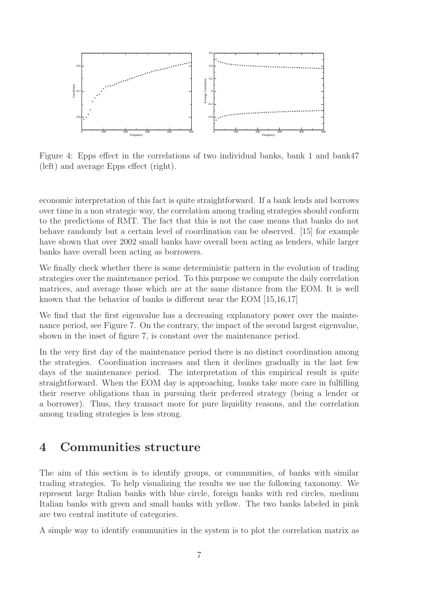

Figure 4: Epps effect in the correlations of two individual banks, bank 1 and bank47 (left) and average Epps effect (right).

economic interpretation of this fact is quite straightforward. If a bank lends and borrows over time in a non strategic way, the correlation among trading strategies should conform to the predictions of RMT. The fact that this is not the case means that banks do not behave randomly but a certain level of coordination can be observed. [15] for example have shown that over 2002 small banks have overall been acting as lenders, while larger banks have overall been acting as borrowers.

We finally check whether there is some deterministic pattern in the evolution of trading strategies over the maintenance period. To this purpose we compute the daily correlation matrices, and average those which are at the same distance from the EOM. It is well known that the behavior of banks is different near the EOM [15,16,17]

We find that the first eigenvalue has a decreasing explanatory power over the maintenance period, see Figure 7. On the contrary, the impact of the second largest eigenvalue, shown in the inset of figure 7, is constant over the maintenance period.

In the very first day of the maintenance period there is no distinct coordination among the strategies. Coordination increases and then it declines gradually in the last few days of the maintenance period. The interpretation of this empirical result is quite straightforward. When the EOM day is approaching, banks take more care in fulfilling their reserve obligations than in pursuing their preferred strategy (being a lender or a borrower). Thus, they transact more for pure liquidity reasons, and the correlation among trading strategies is less strong.

#### **4 Communities structure**

The aim of this section is to identify groups, or communities, of banks with similar trading strategies. To help visualizing the results we use the following taxonomy. We represent large Italian banks with blue circle, foreign banks with red circles, medium Italian banks with green and small banks with yellow. The two banks labeled in pink are two central institute of categories.

A simple way to identify communities in the system is to plot the correlation matrix as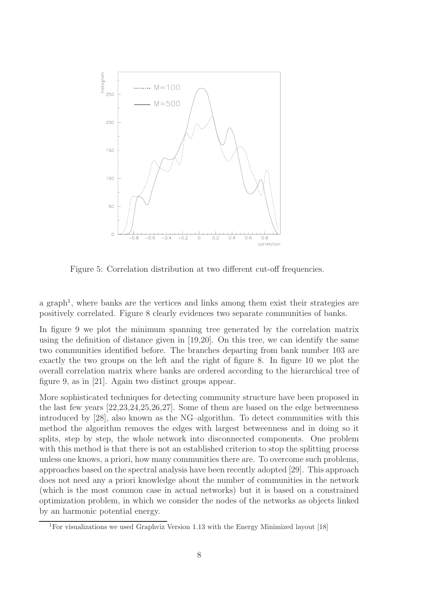

Figure 5: Correlation distribution at two different cut-off frequencies.

a graph<sup>1</sup>, where banks are the vertices and links among them exist their strategies are positively correlated. Figure 8 clearly evidences two separate communities of banks.

In figure 9 we plot the minimum spanning tree generated by the correlation matrix using the definition of distance given in [19,20]. On this tree, we can identify the same two communities identified before. The branches departing from bank number 103 are exactly the two groups on the left and the right of figure 8. In figure 10 we plot the overall correlation matrix where banks are ordered according to the hierarchical tree of figure 9, as in [21]. Again two distinct groups appear.

More sophisticated techniques for detecting community structure have been proposed in the last few years [22,23,24,25,26,27]. Some of them are based on the edge betweenness introduced by [28], also known as the NG–algorithm. To detect communities with this method the algorithm removes the edges with largest betweenness and in doing so it splits, step by step, the whole network into disconnected components. One problem with this method is that there is not an established criterion to stop the splitting process unless one knows, a priori, how many communities there are. To overcome such problems, approaches based on the spectral analysis have been recently adopted [29]. This approach does not need any a priori knowledge about the number of communities in the network (which is the most common case in actual networks) but it is based on a constrained optimization problem, in which we consider the nodes of the networks as objects linked by an harmonic potential energy.

<sup>1</sup>For visualizations we used Graphviz Version 1.13 with the Energy Minimized layout [18]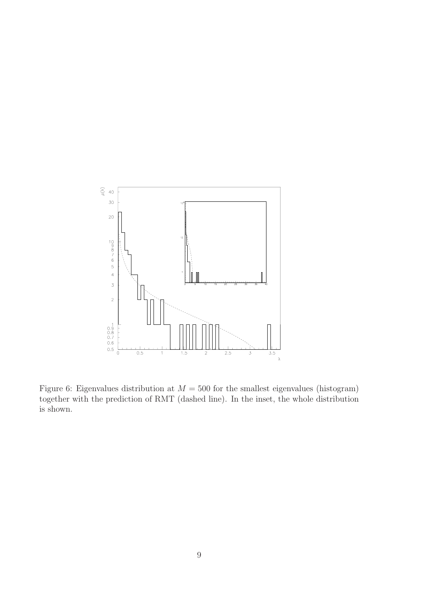

Figure 6: Eigenvalues distribution at  $M = 500$  for the smallest eigenvalues (histogram) together with the prediction of RMT (dashed line). In the inset, the whole distribution is shown.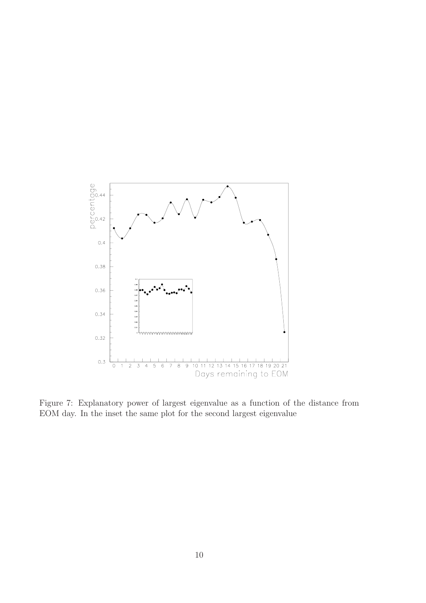

Figure 7: Explanatory power of largest eigenvalue as a function of the distance from EOM day. In the inset the same plot for the second largest eigenvalue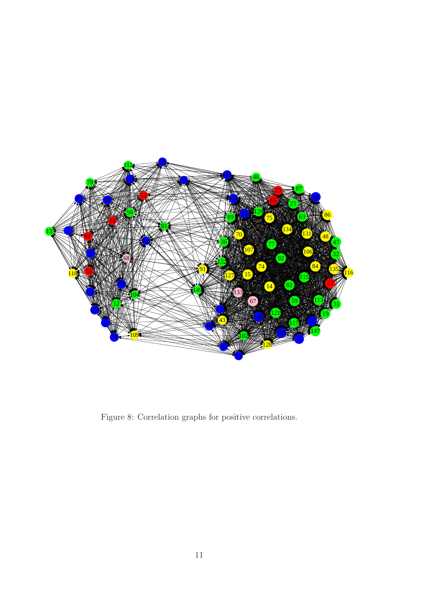

Figure 8: Correlation graphs for positive correlations.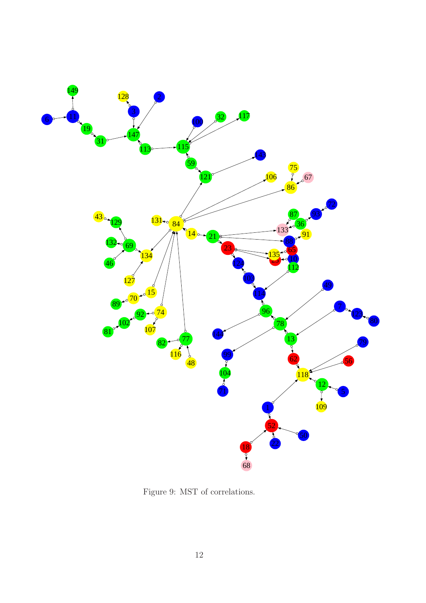

Figure 9: MST of correlations.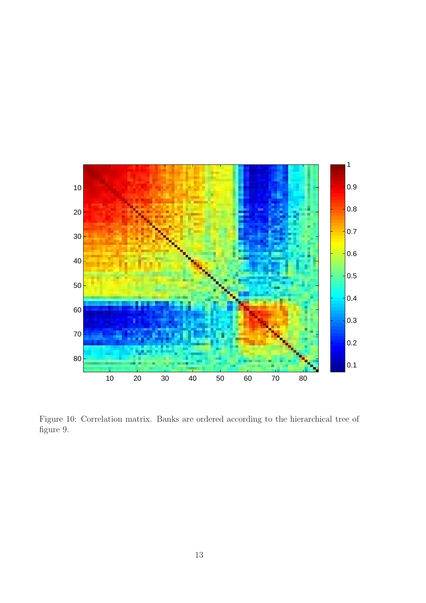

Figure 10: Correlation matrix. Banks are ordered according to the hierarchical tree of figure 9.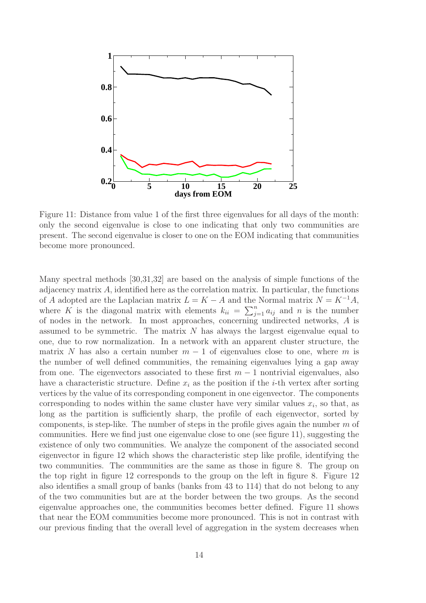

Figure 11: Distance from value 1 of the first three eigenvalues for all days of the month: only the second eigenvalue is close to one indicating that only two communities are present. The second eigenvalue is closer to one on the EOM indicating that communities become more pronounced.

Many spectral methods [30,31,32] are based on the analysis of simple functions of the adjacency matrix  $A$ , identified here as the correlation matrix. In particular, the functions of A adopted are the Laplacian matrix  $L = K - A$  and the Normal matrix  $N = K^{-1}A$ , where K is the diagonal matrix with elements  $k_{ii} = \sum_{j=1}^{n} a_{ij}$  and n is the number of nodes in the network. In most approaches, concerning undirected networks, A is assumed to be symmetric. The matrix  $N$  has always the largest eigenvalue equal to one, due to row normalization. In a network with an apparent cluster structure, the matrix N has also a certain number  $m-1$  of eigenvalues close to one, where m is the number of well defined communities, the remaining eigenvalues lying a gap away from one. The eigenvectors associated to these first  $m-1$  nontrivial eigenvalues, also have a characteristic structure. Define  $x_i$  as the position if the *i*-th vertex after sorting vertices by the value of its corresponding component in one eigenvector. The components corresponding to nodes within the same cluster have very similar values  $x_i$ , so that, as long as the partition is sufficiently sharp, the profile of each eigenvector, sorted by components, is step-like. The number of steps in the profile gives again the number  $m$  of communities. Here we find just one eigenvalue close to one (see figure 11), suggesting the existence of only two communities. We analyze the component of the associated second eigenvector in figure 12 which shows the characteristic step like profile, identifying the two communities. The communities are the same as those in figure 8. The group on the top right in figure 12 corresponds to the group on the left in figure 8. Figure 12 also identifies a small group of banks (banks from 43 to 114) that do not belong to any of the two communities but are at the border between the two groups. As the second eigenvalue approaches one, the communities becomes better defined. Figure 11 shows that near the EOM communities become more pronounced. This is not in contrast with our previous finding that the overall level of aggregation in the system decreases when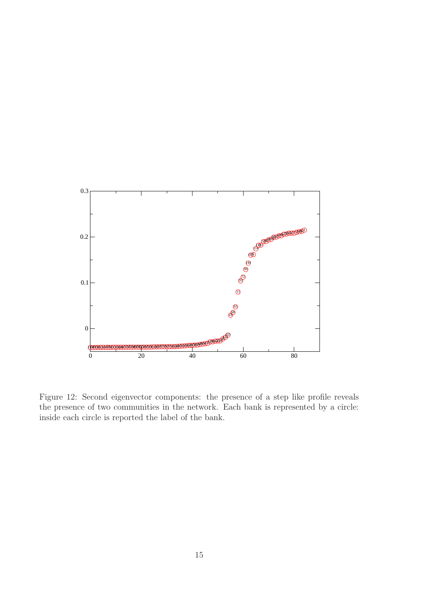

Figure 12: Second eigenvector components: the presence of a step like profile reveals the presence of two communities in the network. Each bank is represented by a circle: inside each circle is reported the label of the bank.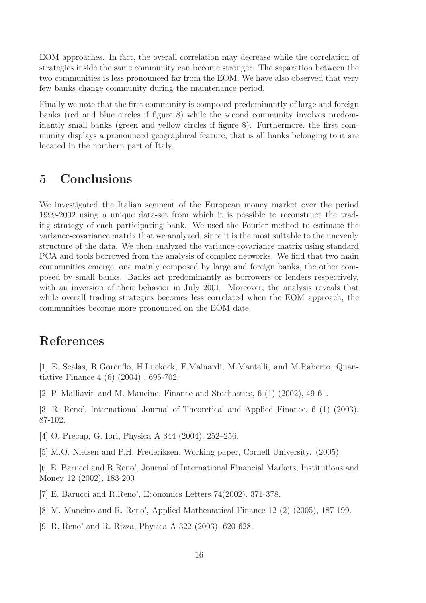EOM approaches. In fact, the overall correlation may decrease while the correlation of strategies inside the same community can become stronger. The separation between the two communities is less pronounced far from the EOM. We have also observed that very few banks change community during the maintenance period.

Finally we note that the first community is composed predominantly of large and foreign banks (red and blue circles if figure 8) while the second community involves predominantly small banks (green and yellow circles if figure 8). Furthermore, the first community displays a pronounced geographical feature, that is all banks belonging to it are located in the northern part of Italy.

#### **5 Conclusions**

We investigated the Italian segment of the European money market over the period 1999-2002 using a unique data-set from which it is possible to reconstruct the trading strategy of each participating bank. We used the Fourier method to estimate the variance-covariance matrix that we analyzed, since it is the most suitable to the unevenly structure of the data. We then analyzed the variance-covariance matrix using standard PCA and tools borrowed from the analysis of complex networks. We find that two main communities emerge, one mainly composed by large and foreign banks, the other composed by small banks. Banks act predominantly as borrowers or lenders respectively, with an inversion of their behavior in July 2001. Moreover, the analysis reveals that while overall trading strategies becomes less correlated when the EOM approach, the communities become more pronounced on the EOM date.

#### **References**

[1] E. Scalas, R.Gorenflo, H.Luckock, F.Mainardi, M.Mantelli, and M.Raberto, Quantiative Finance 4 (6) (2004) , 695-702.

[2] P. Malliavin and M. Mancino, Finance and Stochastics, 6 (1) (2002), 49-61.

[3] R. Reno', International Journal of Theoretical and Applied Finance, 6 (1) (2003), 87-102.

[4] O. Precup, G. Iori, Physica A 344 (2004), 252–256.

[5] M.O. Nielsen and P.H. Frederiksen, Working paper, Cornell University. (2005).

[6] E. Barucci and R.Reno', Journal of International Financial Markets, Institutions and Money 12 (2002), 183-200

- [7] E. Barucci and R.Reno', Economics Letters 74(2002), 371-378.
- [8] M. Mancino and R. Reno', Applied Mathematical Finance 12 (2) (2005), 187-199.
- [9] R. Reno' and R. Rizza, Physica A 322 (2003), 620-628.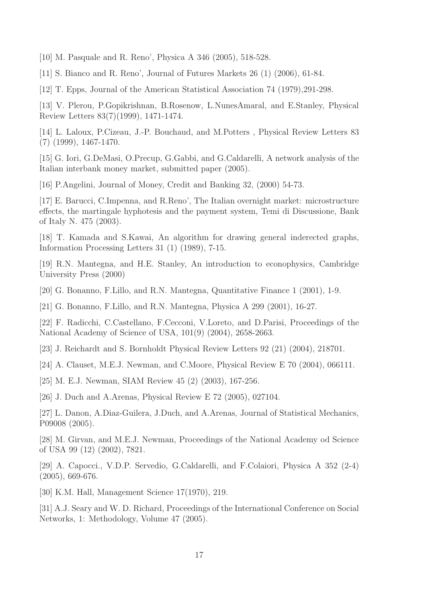- [10] M. Pasquale and R. Reno', Physica A 346 (2005), 518-528.
- [11] S. Bianco and R. Reno', Journal of Futures Markets 26 (1) (2006), 61-84.
- [12] T. Epps, Journal of the American Statistical Association 74 (1979),291-298.

[13] V. Plerou, P.Gopikrishnan, B.Rosenow, L.NunesAmaral, and E.Stanley, Physical Review Letters 83(7)(1999), 1471-1474.

[14] L. Laloux, P.Cizeau, J.-P. Bouchaud, and M.Potters , Physical Review Letters 83 (7) (1999), 1467-1470.

[15] G. Iori, G.DeMasi, O.Precup, G.Gabbi, and G.Caldarelli, A network analysis of the Italian interbank money market, submitted paper (2005).

[16] P.Angelini, Journal of Money, Credit and Banking 32, (2000) 54-73.

[17] E. Barucci, C.Impenna, and R.Reno', The Italian overnight market: microstructure effects, the martingale hyphotesis and the payment system, Temi di Discussione, Bank of Italy N. 475 (2003).

[18] T. Kamada and S.Kawai, An algorithm for drawing general inderected graphs, Information Processing Letters 31 (1) (1989), 7-15.

[19] R.N. Mantegna, and H.E. Stanley, An introduction to econophysics, Cambridge University Press (2000)

[20] G. Bonanno, F.Lillo, and R.N. Mantegna, Quantitative Finance 1 (2001), 1-9.

[21] G. Bonanno, F.Lillo, and R.N. Mantegna, Physica A 299 (2001), 16-27.

[22] F. Radicchi, C.Castellano, F.Cecconi, V.Loreto, and D.Parisi, Proceedings of the National Academy of Science of USA, 101(9) (2004), 2658-2663.

[23] J. Reichardt and S. Bornholdt Physical Review Letters 92 (21) (2004), 218701.

[24] A. Clauset, M.E.J. Newman, and C.Moore, Physical Review E 70 (2004), 066111.

[25] M. E.J. Newman, SIAM Review 45 (2) (2003), 167-256.

[26] J. Duch and A.Arenas, Physical Review E 72 (2005), 027104.

[27] L. Danon, A.Diaz-Guilera, J.Duch, and A.Arenas, Journal of Statistical Mechanics, P09008 (2005).

[28] M. Girvan, and M.E.J. Newman, Proceedings of the National Academy od Science of USA 99 (12) (2002), 7821.

[29] A. Capocci., V.D.P. Servedio, G.Caldarelli, and F.Colaiori, Physica A 352 (2-4) (2005), 669-676.

[30] K.M. Hall, Management Science 17(1970), 219.

[31] A.J. Seary and W. D. Richard, Proceedings of the International Conference on Social Networks, 1: Methodology, Volume 47 (2005).